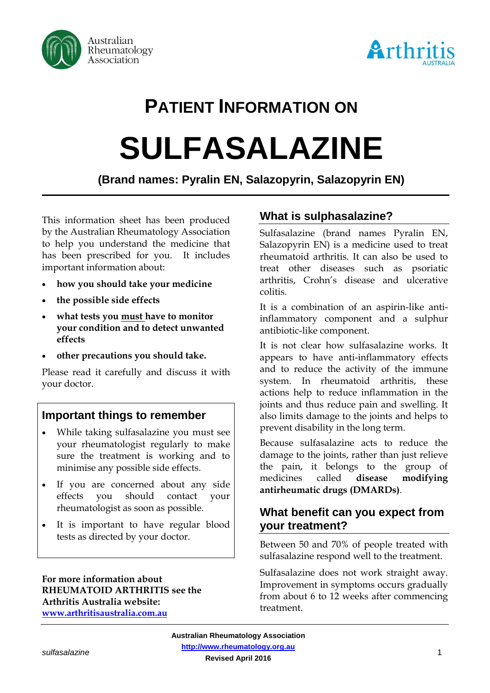



# **PATIENT INFORMATION ON**

# **SULFASALAZINE**

**(Brand names: Pyralin EN, Salazopyrin, Salazopyrin EN)**

This information sheet has been produced by the Australian Rheumatology Association to help you understand the medicine that has been prescribed for you. It includes important information about:

- **how you should take your medicine**
- **the possible side effects**
- **what tests you must have to monitor your condition and to detect unwanted effects**
- **other precautions you should take.**

Please read it carefully and discuss it with your doctor.

# **Important things to remember**

- While taking sulfasalazine you must see your rheumatologist regularly to make sure the treatment is working and to minimise any possible side effects.
- If you are concerned about any side effects you should contact your rheumatologist as soon as possible.
- It is important to have regular blood tests as directed by your doctor.

**For more information about RHEUMATOID ARTHRITIS see the Arthritis Australia website: [www.arthritisaustralia.com.au](http://www.arthritisaustralia.com.au/)**

# **What is sulphasalazine?**

Sulfasalazine (brand names Pyralin EN, Salazopyrin EN) is a medicine used to treat rheumatoid arthritis. It can also be used to treat other diseases such as psoriatic arthritis, Crohn's disease and ulcerative colitis.

It is a combination of an aspirin-like antiinflammatory component and a sulphur antibiotic-like component.

It is not clear how sulfasalazine works. It appears to have anti-inflammatory effects and to reduce the activity of the immune system. In rheumatoid arthritis, these actions help to reduce inflammation in the joints and thus reduce pain and swelling. It also limits damage to the joints and helps to prevent disability in the long term.

Because sulfasalazine acts to reduce the damage to the joints, rather than just relieve the pain, it belongs to the group of medicines called **disease modifying antirheumatic drugs (DMARDs)**.

# **What benefit can you expect from your treatment?**

Between 50 and 70% of people treated with sulfasalazine respond well to the treatment.

Sulfasalazine does not work straight away. Improvement in symptoms occurs gradually from about 6 to 12 weeks after commencing treatment.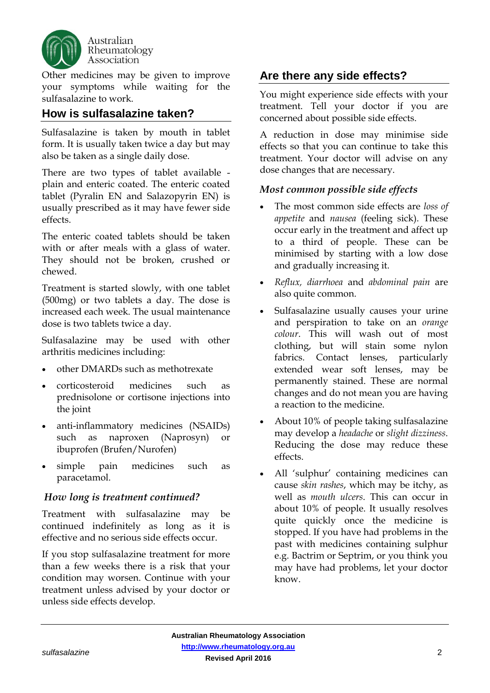

Other medicines may be given to improve your symptoms while waiting for the sulfasalazine to work.

### **How is sulfasalazine taken?**

Sulfasalazine is taken by mouth in tablet form. It is usually taken twice a day but may also be taken as a single daily dose.

There are two types of tablet available plain and enteric coated. The enteric coated tablet (Pyralin EN and Salazopyrin EN) is usually prescribed as it may have fewer side effects.

The enteric coated tablets should be taken with or after meals with a glass of water. They should not be broken, crushed or chewed.

Treatment is started slowly, with one tablet (500mg) or two tablets a day. The dose is increased each week. The usual maintenance dose is two tablets twice a day.

Sulfasalazine may be used with other arthritis medicines including:

- other DMARDs such as methotrexate
- corticosteroid medicines such as prednisolone or cortisone injections into the joint
- anti-inflammatory medicines (NSAIDs) such as naproxen (Naprosyn) or ibuprofen (Brufen/Nurofen)
- simple pain medicines such as paracetamol.

#### *How long is treatment continued?*

Treatment with sulfasalazine may be continued indefinitely as long as it is effective and no serious side effects occur.

If you stop sulfasalazine treatment for more than a few weeks there is a risk that your condition may worsen. Continue with your treatment unless advised by your doctor or unless side effects develop.

# **Are there any side effects?**

You might experience side effects with your treatment. Tell your doctor if you are concerned about possible side effects.

A reduction in dose may minimise side effects so that you can continue to take this treatment. Your doctor will advise on any dose changes that are necessary.

#### *Most common possible side effects*

- The most common side effects are *loss of appetite* and *nausea* (feeling sick). These occur early in the treatment and affect up to a third of people. These can be minimised by starting with a low dose and gradually increasing it.
- *Reflux, diarrhoea* and *abdominal pain* are also quite common.
- Sulfasalazine usually causes your urine and perspiration to take on an *orange colour*. This will wash out of most clothing, but will stain some nylon fabrics. Contact lenses, particularly extended wear soft lenses, may be permanently stained. These are normal changes and do not mean you are having a reaction to the medicine.
- About 10% of people taking sulfasalazine may develop a *headache* or *slight dizziness*. Reducing the dose may reduce these effects.
- All 'sulphur' containing medicines can cause *skin rashes*, which may be itchy, as well as *mouth ulcers*. This can occur in about 10% of people. It usually resolves quite quickly once the medicine is stopped. If you have had problems in the past with medicines containing sulphur e.g. Bactrim or Septrim, or you think you may have had problems, let your doctor know.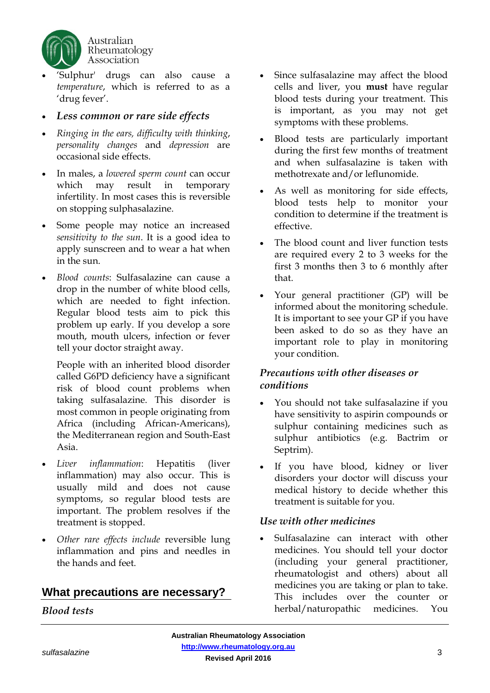

- 'Sulphur' drugs can also cause a *temperature*, which is referred to as a 'drug fever'.
- *Less common or rare side effects*
- *Ringing in the ears, difficulty with thinking*, *personality changes* and *depression* are occasional side effects.
- In males, a *lowered sperm count* can occur which may result in temporary infertility. In most cases this is reversible on stopping sulphasalazine.
- Some people may notice an increased *sensitivity to the sun*. It is a good idea to apply sunscreen and to wear a hat when in the sun.
- *Blood counts*: Sulfasalazine can cause a drop in the number of white blood cells, which are needed to fight infection. Regular blood tests aim to pick this problem up early. If you develop a sore mouth, mouth ulcers, infection or fever tell your doctor straight away.

People with an inherited blood disorder called G6PD deficiency have a significant risk of blood count problems when taking sulfasalazine. This disorder is most common in people originating from Africa (including African-Americans), the Mediterranean region and South-East Asia.

- *Liver inflammation*: Hepatitis (liver inflammation) may also occur. This is usually mild and does not cause symptoms, so regular blood tests are important. The problem resolves if the treatment is stopped.
- *Other rare effects include* reversible lung inflammation and pins and needles in the hands and feet.

# **What precautions are necessary?**

#### *Blood tests*

- Since sulfasalazine may affect the blood cells and liver, you **must** have regular blood tests during your treatment. This is important, as you may not get symptoms with these problems.
- Blood tests are particularly important during the first few months of treatment and when sulfasalazine is taken with methotrexate and/or leflunomide.
- As well as monitoring for side effects, blood tests help to monitor your condition to determine if the treatment is effective.
- The blood count and liver function tests are required every 2 to 3 weeks for the first 3 months then 3 to 6 monthly after that.
- Your general practitioner (GP) will be informed about the monitoring schedule. It is important to see your GP if you have been asked to do so as they have an important role to play in monitoring your condition.

#### *Precautions with other diseases or conditions*

- You should not take sulfasalazine if you have sensitivity to aspirin compounds or sulphur containing medicines such as sulphur antibiotics (e.g. Bactrim or Septrim).
- If you have blood, kidney or liver disorders your doctor will discuss your medical history to decide whether this treatment is suitable for you.

#### *Use with other medicines*

• Sulfasalazine can interact with other medicines. You should tell your doctor (including your general practitioner, rheumatologist and others) about all medicines you are taking or plan to take. This includes over the counter or herbal/naturopathic medicines. You